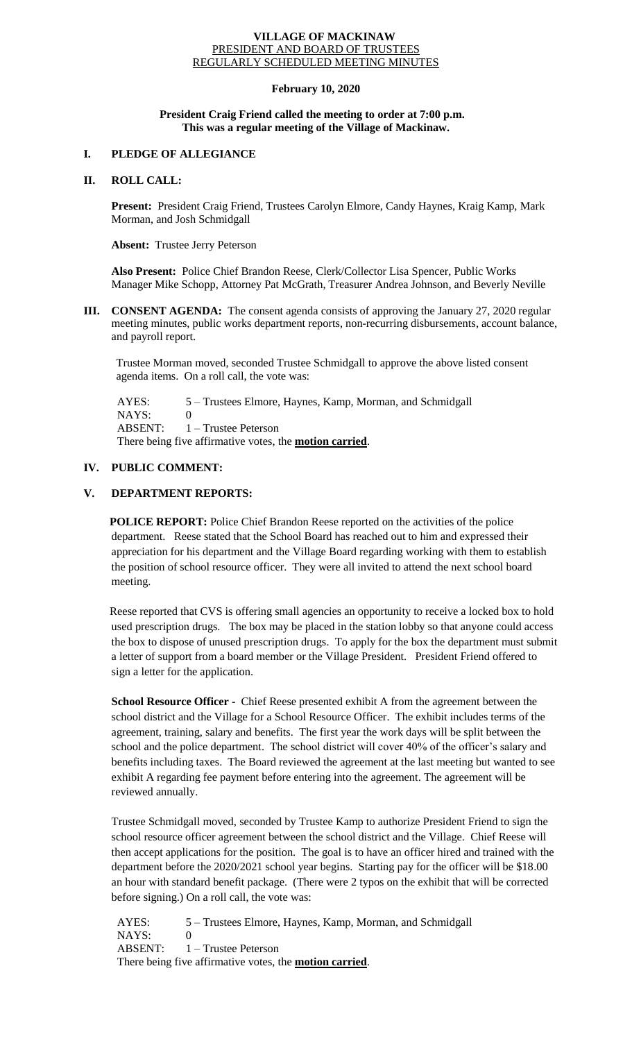#### **VILLAGE OF MACKINAW** PRESIDENT AND BOARD OF TRUSTEES REGULARLY SCHEDULED MEETING MINUTES

## **February 10, 2020**

### **President Craig Friend called the meeting to order at 7:00 p.m. This was a regular meeting of the Village of Mackinaw.**

# **I. PLEDGE OF ALLEGIANCE**

## **II. ROLL CALL:**

**Present:** President Craig Friend, Trustees Carolyn Elmore, Candy Haynes, Kraig Kamp, Mark Morman, and Josh Schmidgall

**Absent:** Trustee Jerry Peterson

**Also Present:** Police Chief Brandon Reese, Clerk/Collector Lisa Spencer, Public Works Manager Mike Schopp, Attorney Pat McGrath, Treasurer Andrea Johnson, and Beverly Neville

**III. CONSENT AGENDA:** The consent agenda consists of approving the January 27, 2020 regular meeting minutes, public works department reports, non-recurring disbursements, account balance, and payroll report.

Trustee Morman moved, seconded Trustee Schmidgall to approve the above listed consent agenda items. On a roll call, the vote was:

 AYES: 5 – Trustees Elmore, Haynes, Kamp, Morman, and Schmidgall NAYS: 0 ABSENT: 1 – Trustee Peterson There being five affirmative votes, the **motion carried**.

# **IV. PUBLIC COMMENT:**

# **V. DEPARTMENT REPORTS:**

**POLICE REPORT:** Police Chief Brandon Reese reported on the activities of the police department. Reese stated that the School Board has reached out to him and expressed their appreciation for his department and the Village Board regarding working with them to establish the position of school resource officer. They were all invited to attend the next school board meeting.

Reese reported that CVS is offering small agencies an opportunity to receive a locked box to hold used prescription drugs. The box may be placed in the station lobby so that anyone could access the box to dispose of unused prescription drugs. To apply for the box the department must submit a letter of support from a board member or the Village President. President Friend offered to sign a letter for the application.

**School Resource Officer -** Chief Reese presented exhibit A from the agreement between the school district and the Village for a School Resource Officer. The exhibit includes terms of the agreement, training, salary and benefits. The first year the work days will be split between the school and the police department. The school district will cover 40% of the officer's salary and benefits including taxes. The Board reviewed the agreement at the last meeting but wanted to see exhibit A regarding fee payment before entering into the agreement. The agreement will be reviewed annually.

Trustee Schmidgall moved, seconded by Trustee Kamp to authorize President Friend to sign the school resource officer agreement between the school district and the Village. Chief Reese will then accept applications for the position. The goal is to have an officer hired and trained with the department before the 2020/2021 school year begins. Starting pay for the officer will be \$18.00 an hour with standard benefit package. (There were 2 typos on the exhibit that will be corrected before signing.) On a roll call, the vote was:

 AYES: 5 – Trustees Elmore, Haynes, Kamp, Morman, and Schmidgall NAYS: 0 ABSENT: 1 – Trustee Peterson There being five affirmative votes, the **motion carried**.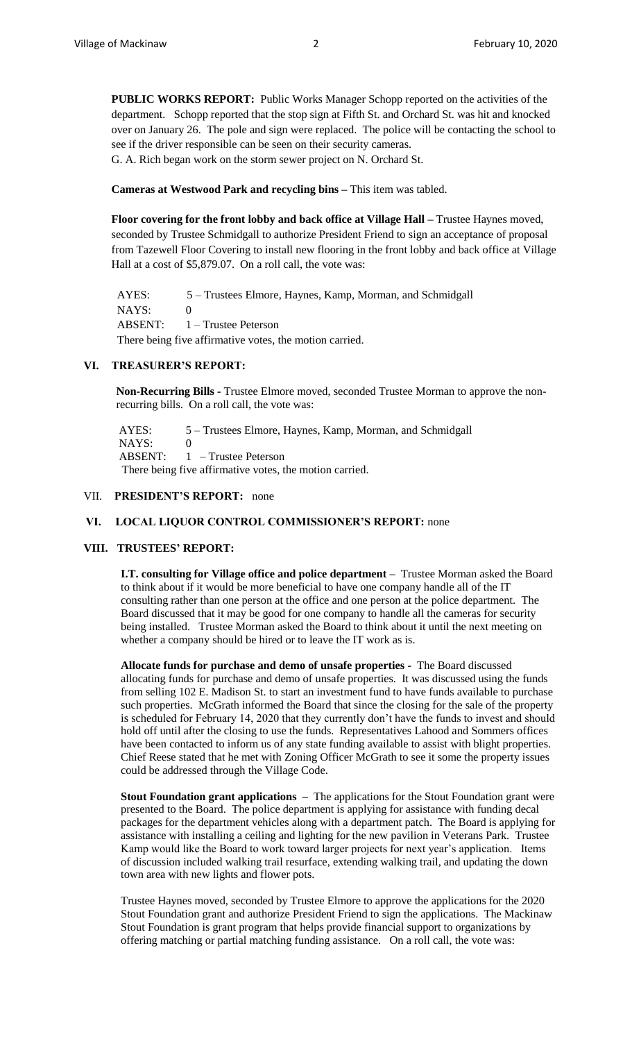**PUBLIC WORKS REPORT:** Public Works Manager Schopp reported on the activities of the department. Schopp reported that the stop sign at Fifth St. and Orchard St. was hit and knocked over on January 26. The pole and sign were replaced. The police will be contacting the school to see if the driver responsible can be seen on their security cameras. G. A. Rich began work on the storm sewer project on N. Orchard St.

# **Cameras at Westwood Park and recycling bins –** This item was tabled.

**Floor covering for the front lobby and back office at Village Hall –** Trustee Haynes moved, seconded by Trustee Schmidgall to authorize President Friend to sign an acceptance of proposal from Tazewell Floor Covering to install new flooring in the front lobby and back office at Village Hall at a cost of \$5,879.07. On a roll call, the vote was:

 AYES: 5 – Trustees Elmore, Haynes, Kamp, Morman, and Schmidgall NAYS: 0 ABSENT: 1 – Trustee Peterson There being five affirmative votes, the motion carried.

## **VI. TREASURER'S REPORT:**

**Non-Recurring Bills -** Trustee Elmore moved, seconded Trustee Morman to approve the nonrecurring bills. On a roll call, the vote was:

AYES: 5 – Trustees Elmore, Haynes, Kamp, Morman, and Schmidgall NAYS: 0 ABSENT: 1 – Trustee Peterson There being five affirmative votes, the motion carried.

### VII. **PRESIDENT'S REPORT:** none

#### **VI. LOCAL LIQUOR CONTROL COMMISSIONER'S REPORT:** none

#### **VIII. TRUSTEES' REPORT:**

**I.T. consulting for Village office and police department –** Trustee Morman asked the Board to think about if it would be more beneficial to have one company handle all of the IT consulting rather than one person at the office and one person at the police department. The Board discussed that it may be good for one company to handle all the cameras for security being installed. Trustee Morman asked the Board to think about it until the next meeting on whether a company should be hired or to leave the IT work as is.

**Allocate funds for purchase and demo of unsafe properties -** The Board discussed allocating funds for purchase and demo of unsafe properties. It was discussed using the funds from selling 102 E. Madison St. to start an investment fund to have funds available to purchase such properties. McGrath informed the Board that since the closing for the sale of the property is scheduled for February 14, 2020 that they currently don't have the funds to invest and should hold off until after the closing to use the funds. Representatives Lahood and Sommers offices have been contacted to inform us of any state funding available to assist with blight properties. Chief Reese stated that he met with Zoning Officer McGrath to see it some the property issues could be addressed through the Village Code.

**Stout Foundation grant applications –** The applications for the Stout Foundation grant were presented to the Board. The police department is applying for assistance with funding decal packages for the department vehicles along with a department patch. The Board is applying for assistance with installing a ceiling and lighting for the new pavilion in Veterans Park. Trustee Kamp would like the Board to work toward larger projects for next year's application. Items of discussion included walking trail resurface, extending walking trail, and updating the down town area with new lights and flower pots.

Trustee Haynes moved, seconded by Trustee Elmore to approve the applications for the 2020 Stout Foundation grant and authorize President Friend to sign the applications. The Mackinaw Stout Foundation is grant program that helps provide financial support to organizations by offering matching or partial matching funding assistance. On a roll call, the vote was: